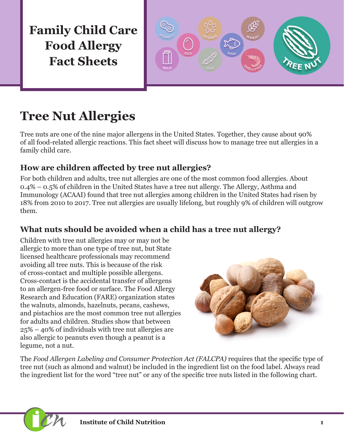

# **Tree Nut Allergies**

Tree nuts are one of the nine major allergens in the United States. Together, they cause about 90% of all food-related allergic reactions. This fact sheet will discuss how to manage tree nut allergies in a family child care.

#### **How are children affected by tree nut allergies?**

For both children and adults, tree nut allergies are one of the most common food allergies. About 0.4% – 0.5% of children in the United States have a tree nut allergy. The Allergy, Asthma and Immunology (ACAAI) found that tree nut allergies among children in the United States had risen by 18% from 2010 to 2017. Tree nut allergies are usually lifelong, but roughly 9% of children will outgrow them.

### **What nuts should be avoided when a child has a tree nut allergy?**

Children with tree nut allergies may or may not be allergic to more than one type of tree nut, but State licensed healthcare professionals may recommend avoiding all tree nuts. This is because of the risk of cross-contact and multiple possible allergens. Cross-contact is the accidental transfer of allergens to an allergen-free food or surface. The Food Allergy Research and Education (FARE) organization states the walnuts, almonds, hazelnuts, pecans, cashews, and pistachios are the most common tree nut allergies for adults and children. Studies show that between 25% – 40% of individuals with tree nut allergies are also allergic to peanuts even though a peanut is a legume, not a nut.



The *Food Allergen Labeling and Consumer Protection Act (FALCPA)* requires that the specific type of tree nut (such as almond and walnut) be included in the ingredient list on the food label. Always read the ingredient list for the word "tree nut" or any of the specific tree nuts listed in the following chart.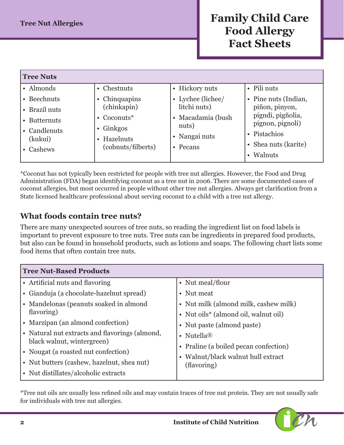| <b>Tree Nuts</b> |                    |                   |                                                       |  |
|------------------|--------------------|-------------------|-------------------------------------------------------|--|
| • Almonds        | • Chestnuts        | • Hickory nuts    | • Pili nuts                                           |  |
| • Beechnuts      | • Chinquapins      | • Lychee (lichee/ | • Pine nuts (Indian,                                  |  |
| • Brazil nuts    | (chinkapin)        | litchi nuts)      | piñon, pinyon,                                        |  |
| • Butternuts     | • Coconuts $*$     | • Macadamia (bush | pigndi, pigñolia,<br>pignon, pignoli)<br>• Pistachios |  |
| • Candlenuts     | $\cdot$ Ginkgos    | nuts)             |                                                       |  |
| (kukui)          | • Hazelnuts        | • Nangai nuts     |                                                       |  |
| • Cashews        | (cobnuts/filberts) | • Pecans          | • Shea nuts (karite)                                  |  |
|                  |                    |                   | • Walnuts                                             |  |

\*Coconut has not typically been restricted for people with tree nut allergies. However, the Food and Drug Administration (FDA) began identifying coconut as a tree nut in 2006. There are some documented cases of coconut allergies, but most occurred in people without other tree nut allergies. Always get clarification from a State licensed healthcare professional about serving coconut to a child with a tree nut allergy.

#### **What foods contain tree nuts?**

There are many unexpected sources of tree nuts, so reading the ingredient list on food labels is important to prevent exposure to tree nuts. Tree nuts can be ingredients in prepared food products, but also can be found in household products, such as lotions and soaps. The following chart lists some food items that often contain tree nuts.

| <b>Tree Nut-Based Products</b>                 |                                               |  |  |  |
|------------------------------------------------|-----------------------------------------------|--|--|--|
| • Artificial nuts and flavoring                | • Nut meal/flour                              |  |  |  |
| • Gianduja (a chocolate-hazelnut spread)       | • Nut meat                                    |  |  |  |
| • Mandelonas (peanuts soaked in almond         | • Nut milk (almond milk, cashew milk)         |  |  |  |
| flavoring)                                     | • Nut oils* (almond oil, walnut oil)          |  |  |  |
| • Marzipan (an almond confection)              | • Nut paste (almond paste)                    |  |  |  |
| • Natural nut extracts and flavorings (almond, | • Nutella $\circledR$                         |  |  |  |
| black walnut, wintergreen)                     | • Praline (a boiled pecan confection)         |  |  |  |
| • Nougat (a roasted nut confection)            | Walnut/black walnut hull extract<br>$\bullet$ |  |  |  |
| • Nut butters (cashew, hazelnut, shea nut)     | (flavoring)                                   |  |  |  |
| • Nut distillates/alcoholic extracts           |                                               |  |  |  |

\*Tree nut oils are usually less refined oils and may contain traces of tree nut protein. They are not usually safe for individuals with tree nut allergies.

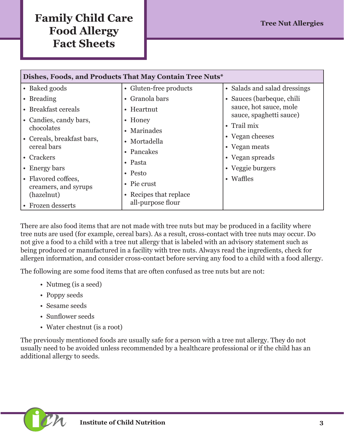| Dishes, Foods, and Products That May Contain Tree Nuts*      |                                             |                                                                         |  |  |
|--------------------------------------------------------------|---------------------------------------------|-------------------------------------------------------------------------|--|--|
| • Baked goods                                                | • Gluten-free products                      | • Salads and salad dressings                                            |  |  |
| • Breading                                                   | • Granola bars                              | Sauces (barbeque, chili<br>$\bullet$                                    |  |  |
| • Breakfast cereals                                          | • Heartnut                                  | sauce, hot sauce, mole<br>sauce, spaghetti sauce)                       |  |  |
| • Candies, candy bars,<br>chocolates                         | $\bullet$ Honey<br>• Marinades              | $\cdot$ Trail mix                                                       |  |  |
| • Cereals, breakfast bars,<br>cereal bars                    | • Mortadella                                | • Vegan cheeses<br>• Vegan meats<br>• Vegan spreads<br>• Veggie burgers |  |  |
| • Crackers                                                   | • Pancakes<br>• Pasta                       |                                                                         |  |  |
| • Energy bars<br>• Flavored coffees,<br>creamers, and syrups | $\cdot$ Pesto                               |                                                                         |  |  |
|                                                              | • Pie crust                                 | • Waffles                                                               |  |  |
| (hazelnut)<br>• Frozen desserts                              | • Recipes that replace<br>all-purpose flour |                                                                         |  |  |

There are also food items that are not made with tree nuts but may be produced in a facility where tree nuts are used (for example, cereal bars). As a result, cross-contact with tree nuts may occur. Do not give a food to a child with a tree nut allergy that is labeled with an advisory statement such as being produced or manufactured in a facility with tree nuts. Always read the ingredients, check for allergen information, and consider cross-contact before serving any food to a child with a food allergy.

The following are some food items that are often confused as tree nuts but are not:

- Nutmeg (is a seed)
- Poppy seeds
- Sesame seeds
- Sunflower seeds
- Water chestnut (is a root)

The previously mentioned foods are usually safe for a person with a tree nut allergy. They do not usually need to be avoided unless recommended by a healthcare professional or if the child has an additional allergy to seeds.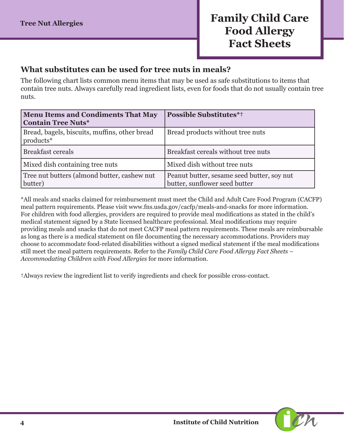#### **What substitutes can be used for tree nuts in meals?**

The following chart lists common menu items that may be used as safe substitutions to items that contain tree nuts. Always carefully read ingredient lists, even for foods that do not usually contain tree nuts.

| <b>Menu Items and Condiments That May</b><br><b>Contain Tree Nuts*</b> | <b>Possible Substitutes*†</b>                                               |
|------------------------------------------------------------------------|-----------------------------------------------------------------------------|
| Bread, bagels, biscuits, muffins, other bread<br>products*             | Bread products without tree nuts                                            |
| <b>Breakfast cereals</b>                                               | Breakfast cereals without tree nuts                                         |
| Mixed dish containing tree nuts                                        | Mixed dish without tree nuts                                                |
| Tree nut butters (almond butter, cashew nut<br>butter)                 | Peanut butter, sesame seed butter, soy nut<br>butter, sunflower seed butter |

\*All meals and snacks claimed for reimbursement must meet the Child and Adult Care Food Program (CACFP) meal pattern requirements. Please visit [www.fns.usda.gov/cacfp/meals-and-snacks](http://www.fns.usda.gov/cacfp/meals-and-snacks) for more information. For children with food allergies, providers are required to provide meal modifications as stated in the child's medical statement signed by a State licensed healthcare professional. Meal modifications may require providing meals and snacks that do not meet CACFP meal pattern requirements. These meals are reimbursable as long as there is a medical statement on file documenting the necessary accommodations. Providers may choose to accommodate food-related disabilities without a signed medical statement if the meal modifications still meet the meal pattern requirements. Refer to the *Family Child Care Food Allergy Fact Sheets – Accommodating Children with Food Allergies* for more information.

†Always review the ingredient list to verify ingredients and check for possible cross-contact.

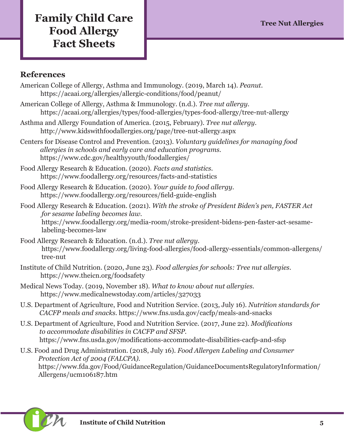#### **References**

- American College of Allergy, Asthma and Immunology. (2019, March 14). *Peanut.* <https://acaai.org/allergies/allergic-conditions/food/peanut/> American College of Allergy, Asthma & Immunology. (n.d.). *Tree nut allergy.*  <https://acaai.org/allergies/types/food-allergies/types-food-allergy/tree-nut-allergy> Asthma and Allergy Foundation of America. (2015, February). *Tree nut allergy.* <http://www.kidswithfoodallergies.org/page/tree-nut-allergy.aspx> Centers for Disease Control and Prevention. (2013). *Voluntary guidelines for managing food allergies in schools and early care and education programs.* https://[www.cdc.gov/healthyyouth/foodallergies/](http://www.cdc.gov/healthyyouth/foodallergies/) Food Allergy Research & Education. (2020). *Facts and statistics.* <https://www.foodallergy.org/resources/facts-and-statistics> Food Allergy Research & Education. (2020). *Your guide to food allergy.*  <https://www.foodallergy.org/resources/field-guide-english> Food Allergy Research & Education. (2021). *With the stroke of President Biden's pen, FASTER Act for sesame labeling becomes law.* [https://www.foodallergy.org/media-room/stroke-president-bidens-pen-faster-act-sesame](https://www.foodallergy.org/media-room/stroke-president-bidens-pen-faster-act-sesame-labeling-becomes-law)[labeling-becomes-law](https://www.foodallergy.org/media-room/stroke-president-bidens-pen-faster-act-sesame-labeling-becomes-law) Food Allergy Research & Education. (n.d.). *Tree nut allergy.*  [https://www.foodallergy.org/living-food-allergies/food-allergy-essentials/common-allergens/](https://www.foodallergy.org/living-food-allergies/food-allergy-essentials/common-allergens/tree-nut) [tree-nut](https://www.foodallergy.org/living-food-allergies/food-allergy-essentials/common-allergens/tree-nut) Institute of Child Nutrition. (2020, June 23). *Food allergies for schools: Tree nut allergies.*  <https://www.theicn.org/foodsafety> Medical News Today. (2019, November 18). *What to know about nut allergies.* <https://www.medicalnewstoday.com/articles/327033> U.S. Department of Agriculture, Food and Nutrition Service. (2013, July 16). *Nutrition standards for CACFP meals and snacks.* <https://www.fns.usda.gov/cacfp/meals-and-snacks> U.S. Department of Agriculture, Food and Nutrition Service. (2017, June 22). *Modifications to accommodate disabilities in CACFP and SFSP.*  <https://www.fns.usda.gov/modifications-accommodate-disabilities-cacfp-and-sfsp>
- U.S. Food and Drug Administration. (2018, July 16). *Food Allergen Labeling and Consumer Protection Act of 2004 (FALCPA).*  [https://www.fda.gov/Food/GuidanceRegulation/GuidanceDocumentsRegulatoryInformation/](https://www.fda.gov/Food/GuidanceRegulation/GuidanceDocumentsRegulatoryInformation/Allergens/ucm106187.htm) [Allergens/ucm106187.htm](https://www.fda.gov/Food/GuidanceRegulation/GuidanceDocumentsRegulatoryInformation/Allergens/ucm106187.htm)